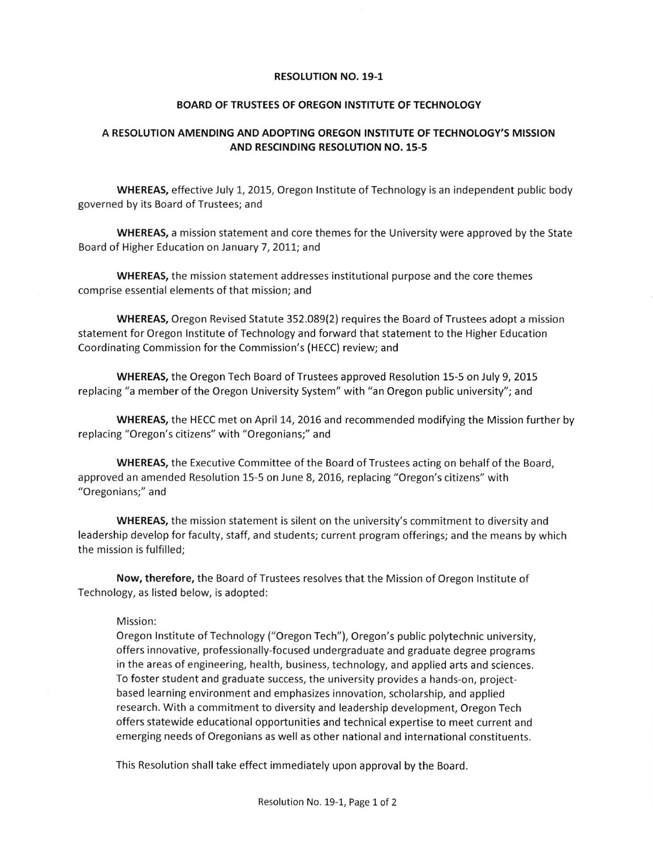## RESOLUTION NO. 19.1

## BOARD OF TRUSTEES OF OREGON INSTITUTE OF TECHNOLOGY

## A RESOLUTION AMENDING AND ADOPTING OREGON INSTITUTE OF TECHNOLOGY'S MISSION AND RESCINDING RESOLUTION NO. 15-5

WHEREAS, effective July 1, 2015, Oregon Institute of Technology is an independent public body governed by its Board of Trustees; and

WHEREAS, a mission statement and core themes for the University were approved by the State Board of Higher Education on January 7, 2011; and

WHEREAS, the mission statement addresses institutional purpose and the core themes comprise essential elements of that mission; and

WHEREAS, Oregon Revised Statute 352.089(2) requires the Board of Trustees adopt a mission statement for Oregon Institute of Technology and forward that statement to the Higher Education Coordinating Commission for the Commission's (HECC) review; and

WHEREAS, the Oregon Tech Board of Trustees approved Resolution 15-5 on July 9, 2015 replacing "a member of the Oregon University System" with "an Oregon public university"; and

WHEREAS, the HECC met on April 14, 2016 and recommended modifying the Mission further by replacing "Oregon's citizens" with "Oregonians;" and

WHEREAS, the Executive Committee of the Board of Trustees acting on behalf of the Board, approved an amended Resolution 15-5 on June 8, 2016, replacing "Oregon's citizens" with "Oregonians;" and

WHEREAS, the mission statement is silent on the university's commitment to diversity and leadership develop for faculty, staff, and students; current program offerings; and the means by which the mission is fulfilled;

Now, therefore, the Board of Trustees resolves that the Mission of Oregon lnstitute of Technology, as listed below, is adopted:

## Mission:

Oregon lnstitute of Technology ("Oregon Tech"), Oregon's public polytechnic university, offers innovative, professionally-focused undergraduate and graduate degree programs in the areas of engineering, health, business, technology, and applied arts and sciences. To foster student and graduate success, the university provides a hands-on, projectbased learning environment and emphasizes innovation, scholarship, and applied research. With a commitment to diversity and leadershlp development, Oregon Tech offers statewide educational opportunities and technical expertise to meet current and emerging needs of Oregonians as well as other national and international constituents.

This Resolution shall take effect immediately upon approval by the Board